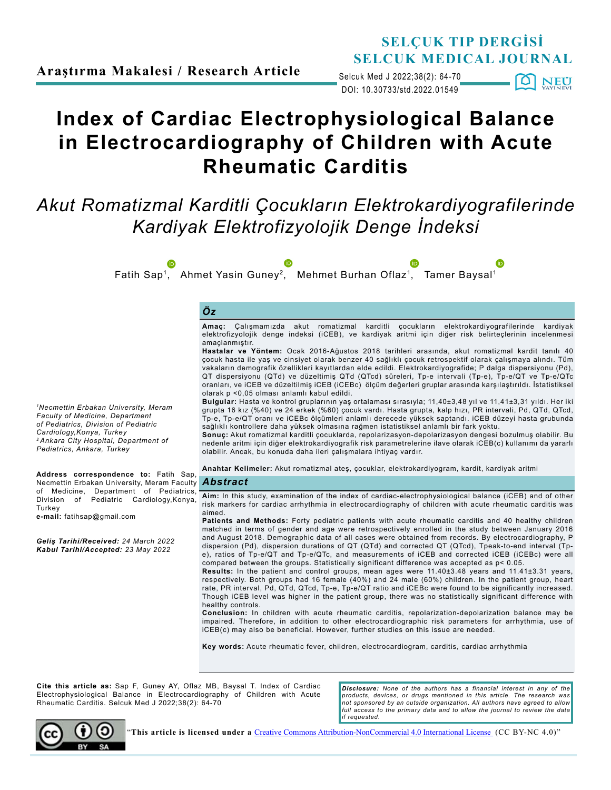DOI: 10.30733/std.2022.01549 Selcuk Med J 2022;38(2): 64-70 O NEU

# **Index of Cardiac Electrophysiological Balance in Electrocardiography of Children with Acute Rheumatic Carditis**

## *Akut Romatizmal Karditli Çocukların Elektrokardiyografilerinde Kardiyak Elektrofizyolojik Denge İndeksi*

*Öz* **Amaç:** Çalışmamızda akut romatizmal karditli çocukların elektrokardiyografilerinde kardiyak elektrofizyolojik denge indeksi (iCEB), ve kardiyak aritmi için diğer risk belirteçlerinin incelenmesi amaçlanmıştır. **Hastalar ve Yöntem:** Ocak 2016-Ağustos 2018 tarihleri arasında, akut romatizmal kardit tanılı 40 çocuk hasta ile yaş ve cinsiyet olarak benzer 40 sağlıklı çocuk retrospektif olarak çalışmaya alındı. Tüm vakaların demografik özellikleri kayıtlardan elde edildi. Elektrokardiyografide; P dalga dispersiyonu (Pd), QT dispersiyonu (QTd) ve düzeltimiş QTd (QTcd) süreleri, Tp-e intervali (Tp-e), Tp-e/QT ve Tp-e/QTc oranları, ve iCEB ve düzeltilmiş iCEB (iCEBc) ölçüm değerleri gruplar arasında karşılaştırıldı. İstatistiksel olarak p <0,05 olması anlamlı kabul edildi. **Bulgular:** Hasta ve kontrol gruplarının yaş ortalaması sırasıyla; 11,40±3,48 yıl ve 11,41±3,31 yıldı. Her iki grupta 16 kız (%40) ve 24 erkek (%60) çocuk vardı. Hasta grupta, kalp hızı, PR intervali, Pd, QTd, QTcd, Tp-e, Tp-e/QT oranı ve iCEBc ölçümleri anlamlı derecede yüksek saptandı. iCEB düzeyi hasta grubunda sağlıklı kontrollere daha yüksek olmasına rağmen istatistiksel anlamlı bir fark yoktu. **Sonuç:** Akut romatizmal karditli çocuklarda, repolarizasyon-depolarizasyon dengesi bozulmuş olabilir. Bu nedenle aritmi için diğer elektrokardiyografik risk parametrelerine ilave olarak iCEB(c) kullanımı da yararlı olabilir. Ancak, bu konuda daha ileri çalışmalara ihtiyaç vardır. **Anahtar Kelimeler:** Akut romatizmal ateş, çocuklar, elektrokardiyogram, kardit, kardiyak aritmi **Aim:** In this study, examination of the index of cardiac-electrophysiological balance (iCEB) and of other risk markers for cardiac arrhythmia in electrocardiography of children with acute rheumatic carditis was aimed. **Patients and Methods:** Forty pediatric patients with acute rheumatic carditis and 40 healthy children matched in terms of gender and age were retrospectively enrolled in the study between January 2016 and August 2018. Demographic data of all cases were obtained from records. By electrocardiography, P dispersion (Pd), dispersion durations of QT (QTd) and corrected QT (QTcd), Tpeak-to-end interval (Tpe), ratios of Tp-e/QT and Tp-e/QTc, and measurements of iCEB and corrected iCEB (iCEBc) were all compared between the groups. Statistically significant difference was accepted as p< 0.05. **Results:** In the patient and control groups, mean ages were 11.40±3.48 years and 11.41±3.31 years, respectively. Both groups had 16 female (40%) and 24 male (60%) children. In the patient group, heart rate, PR interval, Pd, QTd, QTcd, Tp-e, Tp-e/QT ratio and iCEBc were found to be significantly increased. *Abstract* Necmettin Erbakan University, Meram Faculty *1Necmettin Erbakan University, Meram Faculty of Medicine, Department of Pediatrics, Division of Pediatric Cardiology,Konya, Turkey 2 Ankara City Hospital, Department of Pediatrics, Ankara, Turkey* **Address correspondence to:** Fatih Sap, of Medicine, Department of Pediatrics,<br>Division of Pediatric Cardiology.Konva. of Pediatric Cardiology, Konya, **e-mail:** fatihsap@gmail.com *Geliş Tarihi/Received: 24 March 2022 Kabul Tarihi/Accepted: 23 May 2022* **D**<br>Fatih Sap<sup>1</sup>, Ahmet Yasin Guney<sup>2</sup>, Mehmet Burhan Oflaz<sup>1</sup>, Tamer Baysal<sup>1</sup>

Though iCEB level was higher in the patient group, there was no statistically significant difference with healthy controls.

**Conclusion:** In children with acute rheumatic carditis, repolarization-depolarization balance may be impaired. Therefore, in addition to other electrocardiographic risk parameters for arrhythmia, use of iCEB(c) may also be beneficial. However, further studies on this issue are needed.

**Key words:** Acute rheumatic fever, children, electrocardiogram, carditis, cardiac arrhythmia

**Cite this article as:** Sap F, Guney AY, Oflaz MB, Baysal T. Index of Cardiac Electrophysiological Balance in Electrocardiography of Children with Acute Rheumatic Carditis. Selcuk Med J 2022;38(2): 64-70

*Disclosure: None of the authors has a financial interest in any of the products, devices, or drugs mentioned in this article. The research was not sponsored by an outside organization. All authors have agreed to allow*  full access to the primary data and to allow the journal to review the data *if requested.*



**Turkey**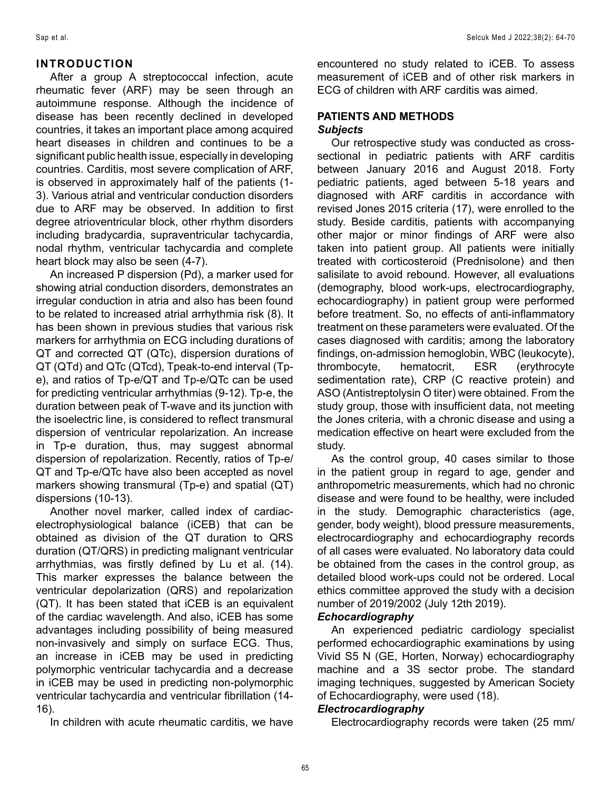#### **INTRODUCTION**

After a group A streptococcal infection, acute rheumatic fever (ARF) may be seen through an autoimmune response. Although the incidence of disease has been recently declined in developed countries, it takes an important place among acquired heart diseases in children and continues to be a significant public health issue, especially in developing countries. Carditis, most severe complication of ARF, is observed in approximately half of the patients (1- 3). Various atrial and ventricular conduction disorders due to ARF may be observed. In addition to first degree atrioventricular block, other rhythm disorders including bradycardia, supraventricular tachycardia, nodal rhythm, ventricular tachycardia and complete heart block may also be seen (4-7).

An increased P dispersion (Pd), a marker used for showing atrial conduction disorders, demonstrates an irregular conduction in atria and also has been found to be related to increased atrial arrhythmia risk (8). It has been shown in previous studies that various risk markers for arrhythmia on ECG including durations of QT and corrected QT (QTc), dispersion durations of QT (QTd) and QTc (QTcd), Tpeak-to-end interval (Tpe), and ratios of Tp-e/QT and Tp-e/QTc can be used for predicting ventricular arrhythmias (9-12). Tp-e, the duration between peak of T-wave and its junction with the isoelectric line, is considered to reflect transmural dispersion of ventricular repolarization. An increase in Tp-e duration, thus, may suggest abnormal dispersion of repolarization. Recently, ratios of Tp-e/ QT and Tp-e/QTc have also been accepted as novel markers showing transmural (Tp-e) and spatial (QT) dispersions (10-13).

Another novel marker, called index of cardiacelectrophysiological balance (iCEB) that can be obtained as division of the QT duration to QRS duration (QT/QRS) in predicting malignant ventricular arrhythmias, was firstly defined by Lu et al. (14). This marker expresses the balance between the ventricular depolarization (QRS) and repolarization (QT). It has been stated that iCEB is an equivalent of the cardiac wavelength. And also, iCEB has some advantages including possibility of being measured non-invasively and simply on surface ECG. Thus, an increase in iCEB may be used in predicting polymorphic ventricular tachycardia and a decrease in iCEB may be used in predicting non-polymorphic ventricular tachycardia and ventricular fibrillation (14- 16).

In children with acute rheumatic carditis, we have

encountered no study related to iCEB. To assess measurement of iCEB and of other risk markers in ECG of children with ARF carditis was aimed.

### **PATIENTS AND METHODS**

#### *Subjects*

Our retrospective study was conducted as crosssectional in pediatric patients with ARF carditis between January 2016 and August 2018. Forty pediatric patients, aged between 5-18 years and diagnosed with ARF carditis in accordance with revised Jones 2015 criteria (17), were enrolled to the study. Beside carditis, patients with accompanying other major or minor findings of ARF were also taken into patient group. All patients were initially treated with corticosteroid (Prednisolone) and then salisilate to avoid rebound. However, all evaluations (demography, blood work-ups, electrocardiography, echocardiography) in patient group were performed before treatment. So, no effects of anti-inflammatory treatment on these parameters were evaluated. Of the cases diagnosed with carditis; among the laboratory findings, on-admission hemoglobin, WBC (leukocyte), thrombocyte, hematocrit, ESR (erythrocyte sedimentation rate), CRP (C reactive protein) and ASO (Antistreptolysin O titer) were obtained. From the study group, those with insufficient data, not meeting the Jones criteria, with a chronic disease and using a medication effective on heart were excluded from the study.

As the control group, 40 cases similar to those in the patient group in regard to age, gender and anthropometric measurements, which had no chronic disease and were found to be healthy, were included in the study. Demographic characteristics (age, gender, body weight), blood pressure measurements, electrocardiography and echocardiography records of all cases were evaluated. No laboratory data could be obtained from the cases in the control group, as detailed blood work-ups could not be ordered. Local ethics committee approved the study with a decision number of 2019/2002 (July 12th 2019).

#### *Echocardiography*

An experienced pediatric cardiology specialist performed echocardiographic examinations by using Vivid S5 N (GE, Horten, Norway) echocardiography machine and a 3S sector probe. The standard imaging techniques, suggested by American Society of Echocardiography, were used (18).

#### *Electrocardiography*

Electrocardiography records were taken (25 mm/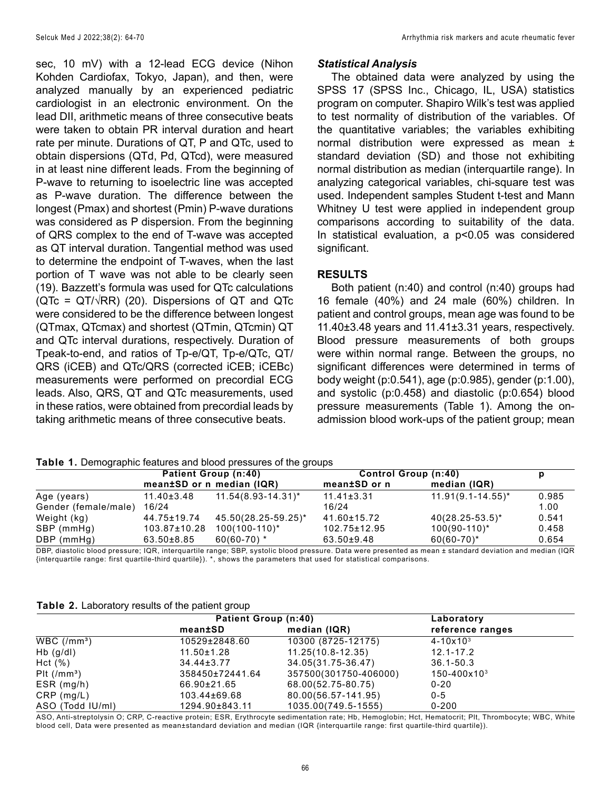sec, 10 mV) with a 12-lead ECG device (Nihon Kohden Cardiofax, Tokyo, Japan), and then, were analyzed manually by an experienced pediatric cardiologist in an electronic environment. On the lead DII, arithmetic means of three consecutive beats were taken to obtain PR interval duration and heart rate per minute. Durations of QT, P and QTc, used to obtain dispersions (QTd, Pd, QTcd), were measured in at least nine different leads. From the beginning of P-wave to returning to isoelectric line was accepted as P-wave duration. The difference between the longest (Pmax) and shortest (Pmin) P-wave durations was considered as P dispersion. From the beginning of QRS complex to the end of T-wave was accepted as QT interval duration. Tangential method was used to determine the endpoint of T-waves, when the last portion of T wave was not able to be clearly seen (19). Bazzett's formula was used for QTc calculations ( $QTC = QT/\sqrt{RR}$ ) (20). Dispersions of  $QT$  and  $QTC$ were considered to be the difference between longest (QTmax, QTcmax) and shortest (QTmin, QTcmin) QT and QTc interval durations, respectively. Duration of Tpeak-to-end, and ratios of Tp-e/QT, Tp-e/QTc, QT/ QRS (iCEB) and QTc/QRS (corrected iCEB; iCEBc) measurements were performed on precordial ECG leads. Also, QRS, QT and QTc measurements, used in these ratios, were obtained from precordial leads by taking arithmetic means of three consecutive beats.

#### *Statistical Analysis*

The obtained data were analyzed by using the SPSS 17 (SPSS Inc., Chicago, IL, USA) statistics program on computer. Shapiro Wilk's test was applied to test normality of distribution of the variables. Of the quantitative variables; the variables exhibiting normal distribution were expressed as mean ± standard deviation (SD) and those not exhibiting normal distribution as median (interquartile range). In analyzing categorical variables, chi-square test was used. Independent samples Student t-test and Mann Whitney U test were applied in independent group comparisons according to suitability of the data. In statistical evaluation, a p<0.05 was considered significant.

#### **RESULTS**

Both patient (n:40) and control (n:40) groups had 16 female (40%) and 24 male (60%) children. In patient and control groups, mean age was found to be 11.40±3.48 years and 11.41±3.31 years, respectively. Blood pressure measurements of both groups were within normal range. Between the groups, no significant differences were determined in terms of body weight (p:0.541), age (p:0.985), gender (p:1.00), and systolic (p:0.458) and diastolic (p:0.654) blood pressure measurements (Table 1). Among the onadmission blood work-ups of the patient group; mean

|  |  | Table 1. Demographic features and blood pressures of the groups |  |  |
|--|--|-----------------------------------------------------------------|--|--|
|--|--|-----------------------------------------------------------------|--|--|

|                      |                  | Patient Group (n:40)      | <b>Control Group (n:40)</b> |                        | р     |
|----------------------|------------------|---------------------------|-----------------------------|------------------------|-------|
|                      |                  | mean±SD or n median (IQR) | mean±SD or n                | median (IQR)           |       |
| Age (years)          | $11.40 \pm 3.48$ | $11.54(8.93 - 14.31)^{*}$ | $11.41 \pm 3.31$            | $11.91(9.1 - 14.55)^*$ | 0.985 |
| Gender (female/male) | 16/24            |                           | 16/24                       |                        | 1.00  |
| Weight (kg)          | 44.75±19.74      | 45.50(28.25-59.25)*       | 41.60±15.72                 | $40(28.25-53.5)^*$     | 0.541 |
| SBP (mmHq)           | 103.87±10.28     | $100(100-110)^*$          | 102.75±12.95                | $100(90-110)^*$        | 0.458 |
| DBP (mmHg)           | 63.50±8.85       | $60(60-70)*$              | 63.50±9.48                  | $60(60-70)*$           | 0.654 |

DBP, diastolic blood pressure; IQR, interquartile range; SBP, systolic blood pressure. Data were presented as mean ± standard deviation and median (IQR {interquartile range: first quartile-third quartile}). \*, shows the parameters that used for statistical comparisons.

**Table 2.** Laboratory results of the patient group

|                           | Patient Group (n:40) |                       | Laboratory              |  |
|---------------------------|----------------------|-----------------------|-------------------------|--|
|                           | mean±SD              | median (IQR)          | reference ranges        |  |
| $WBC/(mm^3)$              | 10529±2848.60        | 10300 (8725-12175)    | $4 - 10 \times 10^{3}$  |  |
| $Hb$ (g/dl)               | $11.50 \pm 1.28$     | $11.25(10.8-12.35)$   | $12.1 - 17.2$           |  |
| Hct(%)                    | $34.44 \pm 3.77$     | 34.05(31.75-36.47)    | $36.1 - 50.3$           |  |
| $P1t$ (/mm <sup>3</sup> ) | 358450±72441.64      | 357500(301750-406000) | $150 - 400 \times 10^3$ |  |
| $ESR$ (mg/h)              | 66.90±21.65          | 68.00(52.75-80.75)    | $0 - 20$                |  |
| $CRP$ (mg/L)              | 103.44±69.68         | 80.00(56.57-141.95)   | $0 - 5$                 |  |
| ASO (Todd IU/ml)          | 1294.90±843.11       | 1035.00(749.5-1555)   | $0 - 200$               |  |

ASO, Anti-streptolysin O; CRP, C-reactive protein; ESR, Erythrocyte sedimentation rate; Hb, Hemoglobin; Hct, Hematocrit; Plt, Thrombocyte; WBC, White blood cell, Data were presented as mean±standard deviation and median (IQR {interquartile range: first quartile-third quartile}).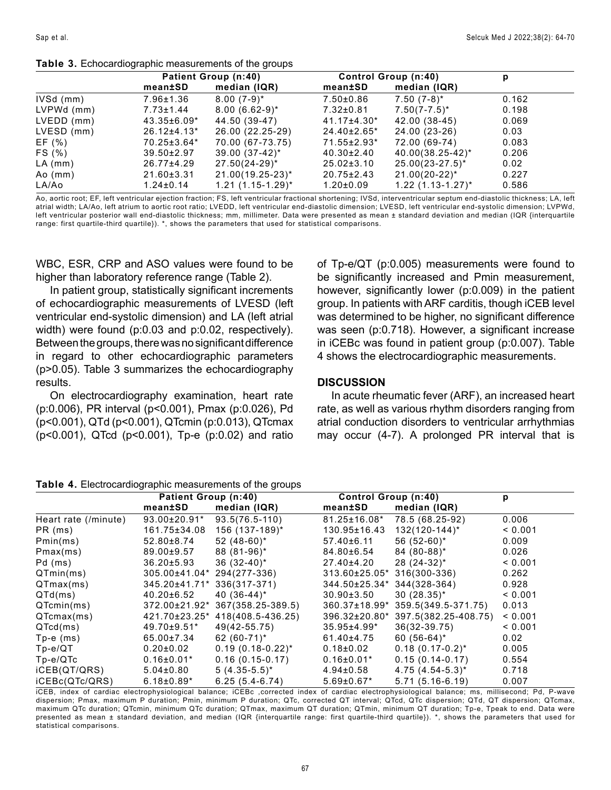|  |  | Table 3. Echocardiographic measurements of the groups |  |  |  |
|--|--|-------------------------------------------------------|--|--|--|
|--|--|-------------------------------------------------------|--|--|--|

|            |                  | <b>Patient Group (n:40)</b> |                    | <b>Control Group (n:40)</b> |       |
|------------|------------------|-----------------------------|--------------------|-----------------------------|-------|
|            | mean±SD          | median (IQR)                | mean±SD            | median (IQR)                |       |
| IVSd (mm)  | 7.96±1.36        | $8.00(7-9)*$                | $7.50{\pm}0.86$    | $7.50(7-8)^*$               | 0.162 |
| LVPWd (mm) | $7.73 \pm 1.44$  | $8.00(6.62-9)^{*}$          | $7.32 \pm 0.81$    | $7.50(7 - 7.5)^*$           | 0.198 |
| LVEDD (mm) | 43.35±6.09*      | 44.50 (39-47)               | 41.17±4.30*        | 42.00 (38-45)               | 0.069 |
| LVESD (mm) | 26.12±4.13*      | 26.00 (22.25-29)            | $24.40 \pm 2.65$ * | 24.00 (23-26)               | 0.03  |
| EF (%)     | 70.25±3.64*      | 70.00 (67-73.75)            | 71.55±2.93*        | 72.00 (69-74)               | 0.083 |
| FS (%)     | $39.50 \pm 2.97$ | $39.00(37-42)^{*}$          | 40.30±2.40         | 40.00(38.25-42)*            | 0.206 |
| $LA$ (mm)  | 26.77±4.29       | $27.50(24-29)^{*}$          | $25.02 \pm 3.10$   | $25.00(23-27.5)^*$          | 0.02  |
| $A_0$ (mm) | $21.60 \pm 3.31$ | 21.00(19.25-23)*            | $20.75 \pm 2.43$   | $21.00(20-22)^{*}$          | 0.227 |
| LA/Ao      | $1.24 \pm 0.14$  | $1.21(1.15-1.29)^{*}$       | $1.20 \pm 0.09$    | $1.22(1.13-1.27)^{*}$       | 0.586 |

Ao, aortic root; EF, left ventricular ejection fraction; FS, left ventricular fractional shortening; IVSd, interventricular septum end-diastolic thickness; LA, left atrial width; LA/Ao, left atrium to aortic root ratio; LVEDD, left ventricular end-diastolic dimension; LVESD, left ventricular end-systolic dimension; LVPWd, left ventricular posterior wall end-diastolic thickness; mm, millimeter. Data were presented as mean ± standard deviation and median (IQR {interquartile range: first quartile-third quartile}). \*, shows the parameters that used for statistical comparisons.

WBC, ESR, CRP and ASO values were found to be higher than laboratory reference range (Table 2).

In patient group, statistically significant increments of echocardiographic measurements of LVESD (left ventricular end-systolic dimension) and LA (left atrial width) were found (p:0.03 and p:0.02, respectively). Between the groups, there was no significant difference in regard to other echocardiographic parameters (p>0.05). Table 3 summarizes the echocardiography results.

On electrocardiography examination, heart rate (p:0.006), PR interval (p<0.001), Pmax (p:0.026), Pd (p<0.001), QTd (p<0.001), QTcmin (p:0.013), QTcmax (p<0.001), QTcd (p<0.001), Tp-e (p:0.02) and ratio

of Tp-e/QT (p:0.005) measurements were found to be significantly increased and Pmin measurement, however, significantly lower (p:0.009) in the patient group. In patients with ARF carditis, though iCEB level was determined to be higher, no significant difference was seen (p:0.718). However, a significant increase in iCEBc was found in patient group (p:0.007). Table 4 shows the electrocardiographic measurements.

#### **DISCUSSION**

In acute rheumatic fever (ARF), an increased heart rate, as well as various rhythm disorders ranging from atrial conduction disorders to ventricular arrhythmias may occur (4-7). A prolonged PR interval that is

#### **Table 4.** Electrocardiographic measurements of the groups

|                      | Patient Group (n:40) |                       | <b>Control Group (n:40)</b> |                      | р       |
|----------------------|----------------------|-----------------------|-----------------------------|----------------------|---------|
|                      | mean±SD              | median (IQR)          | mean±SD                     | median (IQR)         |         |
| Heart rate (/minute) | 93.00±20.91*         | $93.5(76.5-110)$      | 81.25±16.08*                | 78.5 (68.25-92)      | 0.006   |
| PR (ms)              | 161.75±34.08         | 156 (137-189)*        | 130.95±16.43                | $132(120-144)^*$     | < 0.001 |
| Pmin(ms)             | 52.80±8.74           | 52 $(48-60)^*$        | $57.40 \pm 6.11$            | $56(52-60)^*$        | 0.009   |
| Pmax(ms)             | 89.00±9.57           | 88 (81-96)*           | 84.80±6.54                  | 84 (80-88)*          | 0.026   |
| Pd (ms)              | $36.20 \pm 5.93$     | $36(32-40)^*$         | 27.40±4.20                  | $28(24-32)^{*}$      | < 0.001 |
| QTmin(ms)            | 305.00±41.04*        | 294(277-336)          | 313.60±25.05*               | 316(300-336)         | 0.262   |
| QTmax(ms)            | 345.20±41.71*        | 336(317-371)          | 344.50±25.34*               | 344(328-364)         | 0.928   |
| QTd(ms)              | 40.20±6.52           | 40 $(36-44)^*$        | $30.90 \pm 3.50$            | $30(28.35)^*$        | < 0.001 |
| QTcmin(ms)           | 372.00±21.92*        | 367(358.25-389.5)     | 360.37±18.99*               | 359.5(349.5-371.75)  | 0.013   |
| QTcmax(ms)           | 421.70±23.25*        | 418(408.5-436.25)     | 396.32±20.80*               | 397.5(382.25-408.75) | < 0.001 |
| QTcd(ms)             | 49.70±9.51*          | 49(42-55.75)          | $35.95 \pm 4.99*$           | $36(32-39.75)$       | < 0.001 |
| $Tp - e$ (ms)        | 65.00±7.34           | 62 $(60-71)^*$        | 61.40±4.75                  | $60 (56-64)^*$       | 0.02    |
| $Tp-e/QT$            | $0.20 \pm 0.02$      | $0.19(0.18-0.22)^{*}$ | $0.18{\pm}0.02$             | $0.18(0.17-0.2)^{*}$ | 0.005   |
| $Tp-e/QTc$           | $0.16 \pm 0.01*$     | $0.16(0.15-0.17)$     | $0.16 \pm 0.01*$            | $0.15(0.14-0.17)$    | 0.554   |
| iCEB(QT/QRS)         | $5.04 \pm 0.80$      | $5(4.35-5.5)^*$       | $4.94 \pm 0.58$             | $4.75(4.54-5.3)^{*}$ | 0.718   |
| iCEBc(QTc/QRS)       | $6.18 \pm 0.89*$     | $6.25(5.4-6.74)$      | $5.69 \pm 0.67$ *           | $5.71(5.16-6.19)$    | 0.007   |

iCEB, index of cardiac electrophysiological balance; iCEBc ,corrected index of cardiac electrophysiological balance; ms, millisecond; Pd, P-wave dispersion; Pmax, maximum P duration; Pmin, minimum P duration; QTc, corrected QT interval; QTcd, QTc dispersion; QTd, QT dispersion; QTcmax, maximum QTc duration; QTcmin, minimum QTc duration; QTmax, maximum QT duration; QTmin, minimum QT duration; Tp-e, Tpeak to end. Data were presented as mean ± standard deviation, and median (IQR {interquartile range: first quartile-third quartile}). \*, shows the parameters that used for statistical comparisons.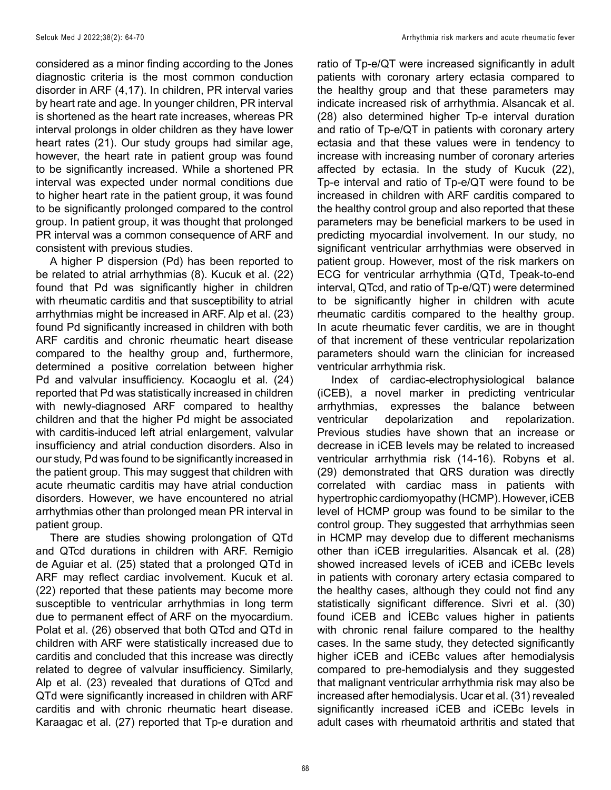considered as a minor finding according to the Jones diagnostic criteria is the most common conduction disorder in ARF (4,17). In children, PR interval varies by heart rate and age. In younger children, PR interval is shortened as the heart rate increases, whereas PR interval prolongs in older children as they have lower heart rates (21). Our study groups had similar age, however, the heart rate in patient group was found to be significantly increased. While a shortened PR interval was expected under normal conditions due to higher heart rate in the patient group, it was found to be significantly prolonged compared to the control group. In patient group, it was thought that prolonged PR interval was a common consequence of ARF and consistent with previous studies.

A higher P dispersion (Pd) has been reported to be related to atrial arrhythmias (8). Kucuk et al. (22) found that Pd was significantly higher in children with rheumatic carditis and that susceptibility to atrial arrhythmias might be increased in ARF. Alp et al. (23) found Pd significantly increased in children with both ARF carditis and chronic rheumatic heart disease compared to the healthy group and, furthermore, determined a positive correlation between higher Pd and valvular insufficiency. Kocaoglu et al. (24) reported that Pd was statistically increased in children with newly-diagnosed ARF compared to healthy children and that the higher Pd might be associated with carditis-induced left atrial enlargement, valvular insufficiency and atrial conduction disorders. Also in our study, Pd was found to be significantly increased in the patient group. This may suggest that children with acute rheumatic carditis may have atrial conduction disorders. However, we have encountered no atrial arrhythmias other than prolonged mean PR interval in patient group.

There are studies showing prolongation of QTd and QTcd durations in children with ARF. Remigio de Aguiar et al. (25) stated that a prolonged QTd in ARF may reflect cardiac involvement. Kucuk et al. (22) reported that these patients may become more susceptible to ventricular arrhythmias in long term due to permanent effect of ARF on the myocardium. Polat et al. (26) observed that both QTcd and QTd in children with ARF were statistically increased due to carditis and concluded that this increase was directly related to degree of valvular insufficiency. Similarly, Alp et al. (23) revealed that durations of QTcd and QTd were significantly increased in children with ARF carditis and with chronic rheumatic heart disease. Karaagac et al. (27) reported that Tp-e duration and

ratio of Tp-e/QT were increased significantly in adult patients with coronary artery ectasia compared to the healthy group and that these parameters may indicate increased risk of arrhythmia. Alsancak et al. (28) also determined higher Tp-e interval duration and ratio of Tp-e/QT in patients with coronary artery ectasia and that these values were in tendency to increase with increasing number of coronary arteries affected by ectasia. In the study of Kucuk (22), Tp-e interval and ratio of Tp-e/QT were found to be increased in children with ARF carditis compared to the healthy control group and also reported that these parameters may be beneficial markers to be used in predicting myocardial involvement. In our study, no significant ventricular arrhythmias were observed in patient group. However, most of the risk markers on ECG for ventricular arrhythmia (QTd, Tpeak-to-end interval, QTcd, and ratio of Tp-e/QT) were determined to be significantly higher in children with acute rheumatic carditis compared to the healthy group. In acute rheumatic fever carditis, we are in thought of that increment of these ventricular repolarization parameters should warn the clinician for increased ventricular arrhythmia risk.

Index of cardiac-electrophysiological balance (iCEB), a novel marker in predicting ventricular arrhythmias, expresses the balance between ventricular depolarization and repolarization. Previous studies have shown that an increase or decrease in iCEB levels may be related to increased ventricular arrhythmia risk (14-16). Robyns et al. (29) demonstrated that QRS duration was directly correlated with cardiac mass in patients with hypertrophic cardiomyopathy (HCMP). However, iCEB level of HCMP group was found to be similar to the control group. They suggested that arrhythmias seen in HCMP may develop due to different mechanisms other than iCEB irregularities. Alsancak et al. (28) showed increased levels of iCEB and iCEBc levels in patients with coronary artery ectasia compared to the healthy cases, although they could not find any statistically significant difference. Sivri et al. (30) found iCEB and İCEBc values higher in patients with chronic renal failure compared to the healthy cases. In the same study, they detected significantly higher iCEB and iCEBc values after hemodialysis compared to pre-hemodialysis and they suggested that malignant ventricular arrhythmia risk may also be increased after hemodialysis. Ucar et al. (31) revealed significantly increased iCEB and iCEBc levels in adult cases with rheumatoid arthritis and stated that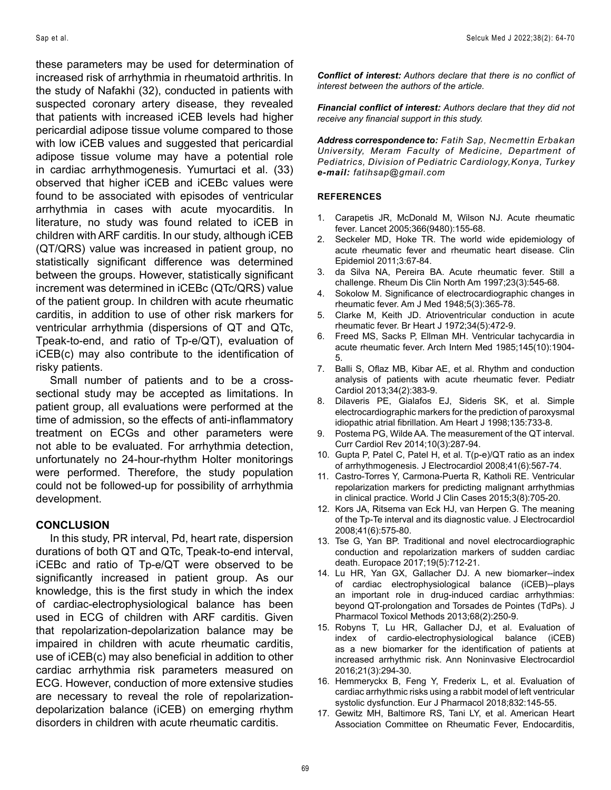these parameters may be used for determination of increased risk of arrhythmia in rheumatoid arthritis. In the study of Nafakhi (32), conducted in patients with suspected coronary artery disease, they revealed that patients with increased iCEB levels had higher pericardial adipose tissue volume compared to those with low iCEB values and suggested that pericardial adipose tissue volume may have a potential role in cardiac arrhythmogenesis. Yumurtaci et al. (33) observed that higher iCEB and iCEBc values were found to be associated with episodes of ventricular arrhythmia in cases with acute myocarditis. In literature, no study was found related to iCEB in children with ARF carditis. In our study, although iCEB (QT/QRS) value was increased in patient group, no statistically significant difference was determined between the groups. However, statistically significant increment was determined in iCEBc (QTc/QRS) value of the patient group. In children with acute rheumatic carditis, in addition to use of other risk markers for ventricular arrhythmia (dispersions of QT and QTc, Tpeak-to-end, and ratio of Tp-e/QT), evaluation of iCEB(c) may also contribute to the identification of risky patients.

Small number of patients and to be a crosssectional study may be accepted as limitations. In patient group, all evaluations were performed at the time of admission, so the effects of anti-inflammatory treatment on ECGs and other parameters were not able to be evaluated. For arrhythmia detection, unfortunately no 24-hour-rhythm Holter monitorings were performed. Therefore, the study population could not be followed-up for possibility of arrhythmia development.

#### **CONCLUSION**

In this study, PR interval, Pd, heart rate, dispersion durations of both QT and QTc, Tpeak-to-end interval, iCEBc and ratio of Tp-e/QT were observed to be significantly increased in patient group. As our knowledge, this is the first study in which the index of cardiac-electrophysiological balance has been used in ECG of children with ARF carditis. Given that repolarization-depolarization balance may be impaired in children with acute rheumatic carditis, use of iCEB(c) may also beneficial in addition to other cardiac arrhythmia risk parameters measured on ECG. However, conduction of more extensive studies are necessary to reveal the role of repolarizationdepolarization balance (iCEB) on emerging rhythm disorders in children with acute rheumatic carditis.

*Conflict of interest: Authors declare that there is no conflict of interest between the authors of the article.*

*Financial conflict of interest: Authors declare that they did not receive any financial support in this study.*

*Address correspondence to: Fatih Sap, Necmettin Erbakan University, Meram Faculty of Medicine, Department of Pediatrics, Division of Pediatric Cardiology,Konya, Turkey e-mail: fatihsap@gmail.com*

#### **REFERENCES**

- 1. Carapetis JR, McDonald M, Wilson NJ. Acute rheumatic fever. Lancet 2005;366(9480):155-68.
- 2. Seckeler MD, Hoke TR. The world wide epidemiology of acute rheumatic fever and rheumatic heart disease. Clin Epidemiol 2011;3:67-84.
- 3. da Silva NA, Pereira BA. Acute rheumatic fever. Still a challenge. Rheum Dis Clin North Am 1997;23(3):545-68.
- 4. Sokolow M. Significance of electrocardiographic changes in rheumatic fever. Am J Med 1948;5(3):365-78.
- 5. Clarke M, Keith JD. Atrioventricular conduction in acute rheumatic fever. Br Heart J 1972;34(5):472-9.
- 6. Freed MS, Sacks P, Ellman MH. Ventricular tachycardia in acute rheumatic fever. Arch Intern Med 1985;145(10):1904- 5.
- 7. Balli S, Oflaz MB, Kibar AE, et al. Rhythm and conduction analysis of patients with acute rheumatic fever. Pediatr Cardiol 2013;34(2):383-9.
- 8. Dilaveris PE, Gialafos EJ, Sideris SK, et al. Simple electrocardiographic markers for the prediction of paroxysmal idiopathic atrial fibrillation. Am Heart J 1998;135:733-8.
- 9. Postema PG, Wilde AA. The measurement of the QT interval. Curr Cardiol Rev 2014;10(3):287-94.
- 10. Gupta P, Patel C, Patel H, et al. T(p-e)/QT ratio as an index of arrhythmogenesis. J Electrocardiol 2008;41(6):567-74.
- 11. Castro-Torres Y, Carmona-Puerta R, Katholi RE. Ventricular repolarization markers for predicting malignant arrhythmias in clinical practice. World J Clin Cases 2015;3(8):705-20.
- 12. Kors JA, Ritsema van Eck HJ, van Herpen G. The meaning of the Tp-Te interval and its diagnostic value. J Electrocardiol 2008;41(6):575-80.
- 13. Tse G, Yan BP. Traditional and novel electrocardiographic conduction and repolarization markers of sudden cardiac death. Europace 2017;19(5):712-21.
- 14. Lu HR, Yan GX, Gallacher DJ. A new biomarker--index of cardiac electrophysiological balance (iCEB)--plays an important role in drug-induced cardiac arrhythmias: beyond QT-prolongation and Torsades de Pointes (TdPs). J Pharmacol Toxicol Methods 2013;68(2):250-9.
- 15. Robyns T, Lu HR, Gallacher DJ, et al. Evaluation of index of cardio-electrophysiological balance (iCEB) as a new biomarker for the identification of patients at increased arrhythmic risk. Ann Noninvasive Electrocardiol 2016;21(3):294-30.
- 16. Hemmeryckx B, Feng Y, Frederix L, et al. Evaluation of cardiac arrhythmic risks using a rabbit model of left ventricular systolic dysfunction. Eur J Pharmacol 2018;832:145-55.
- 17. Gewitz MH, Baltimore RS, Tani LY, et al. American Heart Association Committee on Rheumatic Fever, Endocarditis,